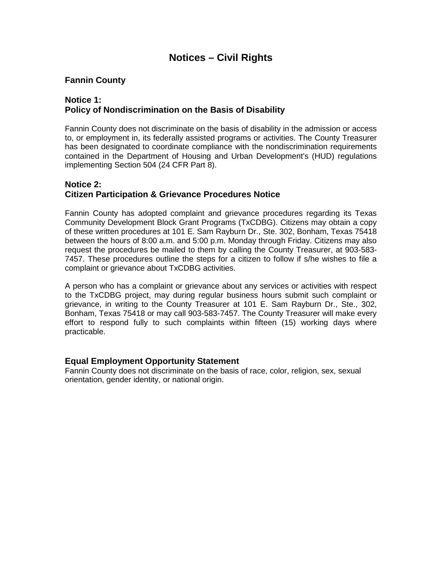# **Notices – Civil Rights**

### **Fannin County**

#### **Notice 1: Policy of Nondiscrimination on the Basis of Disability**

Fannin County does not discriminate on the basis of disability in the admission or access to, or employment in, its federally assisted programs or activities. The County Treasurer has been designated to coordinate compliance with the nondiscrimination requirements contained in the Department of Housing and Urban Development's (HUD) regulations implementing Section 504 (24 CFR Part 8).

#### **Notice 2: Citizen Participation & Grievance Procedures Notice**

Fannin County has adopted complaint and grievance procedures regarding its Texas Community Development Block Grant Programs (TxCDBG). Citizens may obtain a copy of these written procedures at 101 E. Sam Rayburn Dr., Ste. 302, Bonham, Texas 75418 between the hours of 8:00 a.m. and 5:00 p.m. Monday through Friday. Citizens may also request the procedures be mailed to them by calling the County Treasurer, at 903-583- 7457. These procedures outline the steps for a citizen to follow if s/he wishes to file a complaint or grievance about TxCDBG activities.

A person who has a complaint or grievance about any services or activities with respect to the TxCDBG project, may during regular business hours submit such complaint or grievance, in writing to the County Treasurer at 101 E. Sam Rayburn Dr., Ste., 302, Bonham, Texas 75418 or may call 903-583-7457. The County Treasurer will make every effort to respond fully to such complaints within fifteen (15) working days where practicable.

#### **Equal Employment Opportunity Statement**

Fannin County does not discriminate on the basis of race, color, religion, sex, sexual orientation, gender identity, or national origin.